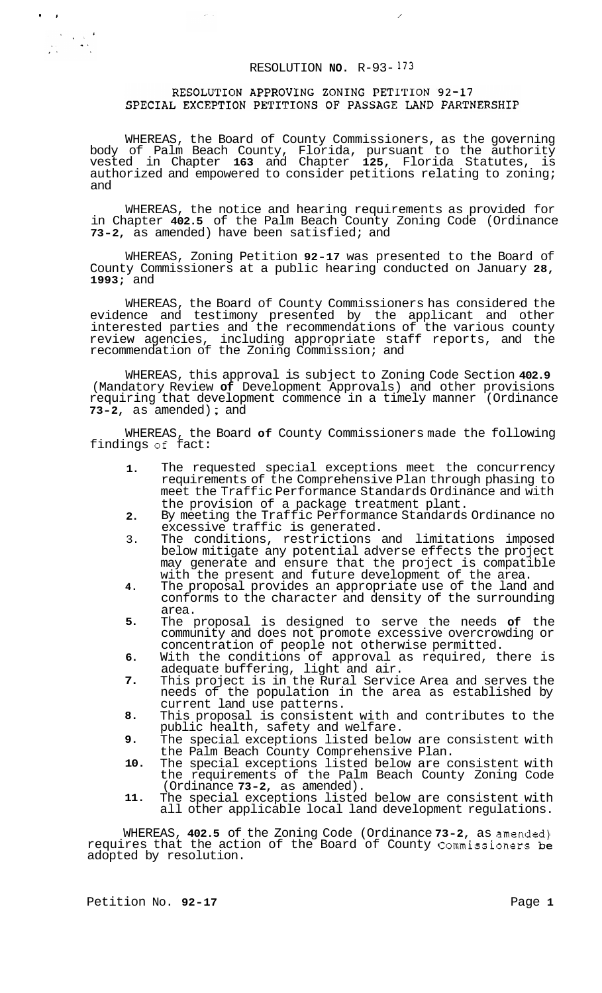# RESOLUTION **NO.** R-93- <sup>173</sup>

# RESOLUTION APPROVING ZONING PETITION 92-17 SPECIAL EXCEPTION PETITIONS OF PASSAGE LAND PARTNERSHIP

WHEREAS, the Board of County Commissioners, as the governing body of Palm Beach County, Florida, pursuant to the authority vested in Chapter **163** and Chapter **125,** Florida Statutes, is authorized and empowered to consider petitions relating to zoning; and

WHEREAS, the notice and hearing requirements as provided for in Chapter **402.5** of the Palm Beach County Zoning Code (Ordinance **73-2,** as amended) have been satisfied; and

WHEREAS, Zoning Petition **92-17** was presented to the Board of County Commissioners at a public hearing conducted on January **28, 1993;** and

WHEREAS, the Board of County Commissioners has considered the evidence and testimony presented by the applicant and other interested parties and the recommendations of the various county review agencies, including appropriate staff reports, and the recommendation of the Zoning Commission; and

WHEREAS, this approval is subject to Zoning Code Section **402.9**  (Mandatory Review **of** Development Approvals) and other provisions requiring that development commence in a timely manner (Ordinance **73-2,** as amended) ; and

WHEREAS, the Board **of** County Commissioners made the following findings of fact:

- **1.**  The requested special exceptions meet the concurrency requirements of the Comprehensive Plan through phasing to meet the Traffic Performance Standards Ordinance and with the provision of a package treatment plant.
- **2.**  By meeting the Traffic Performance Standards Ordinance no excessive traffic is generated.
- 3. The conditions, restrictions and limitations imposed below mitigate any potential adverse effects the project may generate and ensure that the project is compatible with the present and future development of the area.
- **4.**  The proposal provides an appropriate use of the land and conforms to the character and density of the surrounding area.
- **5.**  The proposal is designed to serve the needs **of** the community and does not promote excessive overcrowding or concentration of people not otherwise permitted.
- **6.**  With the conditions of approval as required, there is adequate buffering, light and air.
- **7.**  This project is in the Rural Service Area and serves the needs of the population in the area as established by current land use patterns.
- **8.**  This proposal is consistent with and contributes to the public health, safety and welfare.
- **9.**  The special exceptions listed below are consistent with the Palm Beach County Comprehensive Plan.
- **10.**  The special exceptions listed below are consistent with the requirements of the Palm Beach County Zoning Code (Ordinance **73-2,** as amended).
- **11.**  The special exceptions listed below are consistent with all other applicable local land development regulations.

WHEREAS, **402.5** of the Zoning Code (Ordinance **73-2,** as amended) requires that the action of the Board of County Commissioners be adopted by resolution.

**I,** 

 $\begin{array}{l} \left(\begin{array}{cc} \mathcal{N} & \mathcal{N} \\ \mathcal{N} & \mathcal{N} \end{array}\right) \times \mathcal{N} \times \mathcal{N} \times \mathcal{N} \times \mathcal{N} \times \mathcal{N} \times \mathcal{N} \times \mathcal{N} \times \mathcal{N} \times \mathcal{N} \times \mathcal{N} \times \mathcal{N} \times \mathcal{N} \times \mathcal{N} \times \mathcal{N} \times \mathcal{N} \times \mathcal{N} \times \mathcal{N} \times \mathcal{N} \times \mathcal{N} \times \mathcal{N} \times \mathcal{N} \times$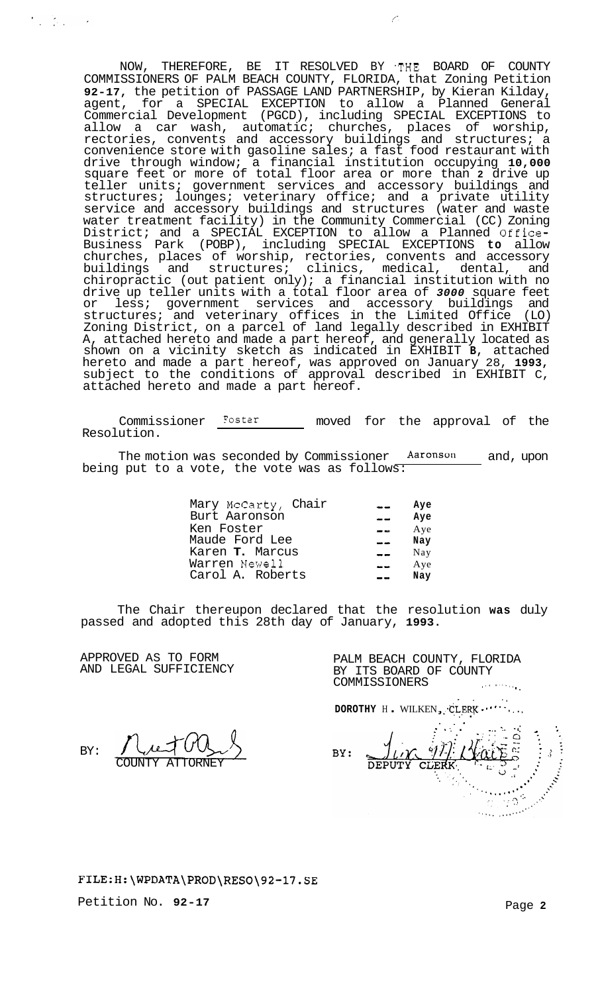NOW, THEREFORE, BE IT RESOLVED BY THE BOARD OF COUNTY COMMISSIONERS OF PALM BEACH COUNTY, FLORIDA, that Zoning Petition **92-17,** the petition of PASSAGE LAND PARTNERSHIP, by Kieran Kilday, agent, for a SPECIAL EXCEPTION to allow a Planned General Commercial Development (PGCD), including SPECIAL EXCEPTIONS to allow a car wash, automatic; churches, places of worship, rectories, convents and accessory buildings and structures; a convenience store with gasoline sales; a fast food restaurant with drive through window; a financial institution occupying **10,000**  square feet or more of total floor area or more than **2** drive up teller units; government services and accessory buildings and structures; lounges; veterinary office; and a private utility service and accessory buildings and structures (water and waste water treatment facility) in the Community Commercial (CC) Zoning District; and a SPECIAL EXCEPTION to allow a Planned Office-Business Park (POBP), including SPECIAL EXCEPTIONS **to** allow churches, places of worship, rectories, convents and accessory buildings and structures; clinics, medical, dental, and chiropractic (out patient only); a financial institution with no drive up teller units with a total floor area of *3000* square feet or less; government services and accessory buildings and structures; and veterinary offices in the Limited Office (LO) Zoning District, on a parcel of land legally described in EXHIBIT A, attached hereto and made a part hereof, and generally located as shown on a vicinity sketch as indicated in EXHIBIT **B,** attached hereto and made a part hereof, was approved on January 28, **1993,**  subject to the conditions of approval described in EXHIBIT C, attached hereto and made a part hereof.

 $\mathcal{L}$ 

Commissioner Foster moved for the approval of the Resolution.

The motion was seconded by Commissioner **Aaronson** and, upon being put to a vote, the vote was as follows:

| Mary McCarty, Chair | المسابقة      | Aye |
|---------------------|---------------|-----|
| Burt Aaronson       |               | Aye |
| Ken Foster          | $-1$          | Aye |
| Maude Ford Lee      |               | Nay |
| Karen T. Marcus     | $\rightarrow$ | Nay |
| Warren Newell       | $\sim$        | Aye |
| Carol A. Roberts    |               | Nay |

The Chair thereupon declared that the resolution **was** duly passed and adopted this 28th day of January, **1993.** 

APPROVED AS TO FORM AND LEGAL SUFFICIENCY

BY:

 $\sum_{i=1}^n \frac{1}{\lambda_i} \sum_{j=1}^n \frac{1}{\lambda_j} \sum_{j=1}^n \frac{1}{\lambda_j} \sum_{j=1}^n \frac{1}{\lambda_j} \sum_{j=1}^n \frac{1}{\lambda_j} \sum_{j=1}^n \frac{1}{\lambda_j} \sum_{j=1}^n \frac{1}{\lambda_j} \sum_{j=1}^n \frac{1}{\lambda_j} \sum_{j=1}^n \frac{1}{\lambda_j} \sum_{j=1}^n \frac{1}{\lambda_j} \sum_{j=1}^n \frac{1}{\lambda_j} \sum_{j=1}^n \frac{1}{\lambda_j} \sum_{j$ 

PALM BEACH COUNTY, FLORIDA BY ITS BOARD OF COUNTY COMMISSIONERS ,.. ....., **9.** 

.. ,.

**DOROTHY** H . WILKEN ,:\*CLEW **1** ' ' ' ' **0.** . , .. . ,. .- '. . ..- -. . **mi** \* ;  $BY:$ **CONSTRUCTION** 

# COUNTY ATTORNEY

# **<FILE:H:\WPDATA\PROD\RESO\92-17.SE>**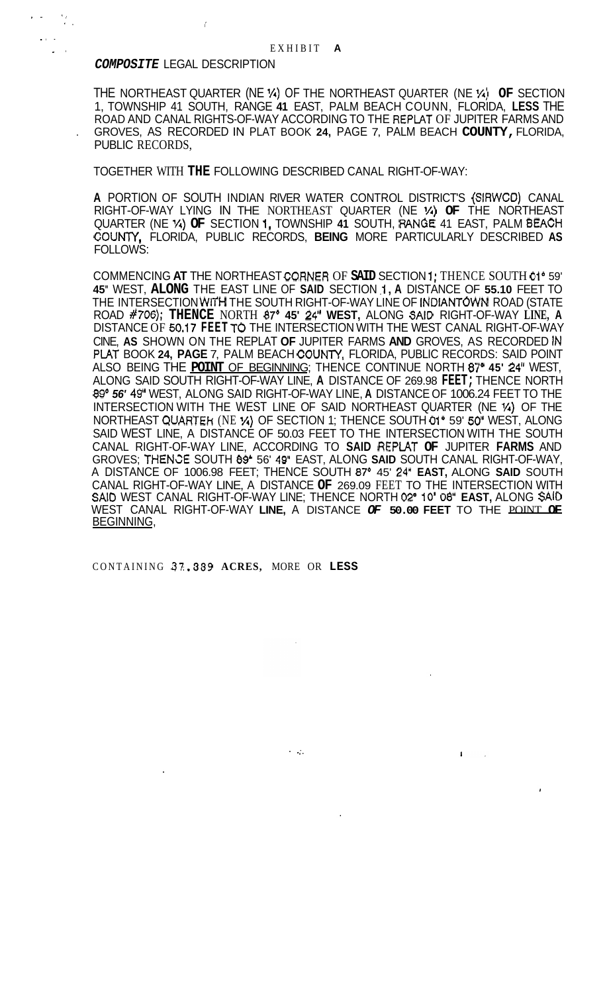# *COMPOSITE* LEGAL DESCRIPTION

. As a set of the set of the set of the set of the set of the set of the set of the set of the set of the set of the set of the set of the set of the set of the set of the set of the set of the set of the set of the set o

*a.* si

 $\mathbf{I}$  . In .

THE NORTHEAST QUARTER (NE *'A)* OF THE NORTHEAST QUARTER (NE **X) OF** SECTION 1, TOWNSHIP 41 SOUTH, RANGE **41** EAST, PALM BEACH COUNN, FLORIDA, **LESS** THE . GROVES, AS RECORDED IN PLAT BOOK **24,** PAGE 7, PALM BEACH **COUNTY,** FLORIDA, ROAD AND CANAL RIGHTS-OF-WAY ACCORDING TO THE REPLAT OF JUPITER FARMS AND PUBLIC RECORDS,

TOGETHER WITH **THE** FOLLOWING DESCRIBED CANAL RIGHT-OF-WAY:

**A** PORTION OF SOUTH INDIAN RIVER WATER CONTROL DISTRICT'S (SIRWCO) CANAL QUARTER (NE *Vi)* **OF** SECTION 1, TOWNSHIP **41** SOUTH, WINGE 41 EAST, PALM 8EACH COUMY, FLORIDA, PUBLIC RECORDS, **BEING** MORE PARTICULARLY DESCRIBED **AS**  FOLLOWS: RIGHT-OF-WAY LYING IN THE NORTHEAST QUARTER (NE *'A)* **OF** THE NORTHEAST

COMMENCING **AT** THE NORTHEAST CO.RNER OF **SAID** SECTION 1 ; THENCE SOUTH 01' 59' **45"** WEST, **ALONG** THE EAST LINE OF **SAID** SECTION .I ,**A** DISTANCE OF **55.10** FEET TO THE INTERSECTION WlYH THE SOUTH RIGHT-OF-WAY LINE OF INDIANTOWN ROAD (STATE ROAD **#706); THENCE** NORTH **87' 45' 24'' WEST,** ALONG SAID RIGHT-OF-WAY **LINE, A**  DISTANCE OF **50,17 FEET** TO THE INTERSECTION WITH THE WEST CANAL RIGHT-OF-WAY CINE, **AS** SHOWN ON THE REPLAT **OF** JUPITER FARMS **AND** GROVES, AS RECORDED IN PLAT BOOK 24, PAGE 7, PALM BEACH COUNTY, FLORIDA, PUBLIC RECORDS: SAID POINT ALSO BEING THE **POINT** OF BEGINNING; THENCE CONTINUE NORTH **87" 45' 24"** WEST, ALONG SAID SOUTH RIGHT-OF-WAY LINE, **A** DISTANCE OF 269.98 **FEET;** THENCE NORTH **89'** *56'* 49, WEST, ALONG SAID RIGHT-OF-WAY LINE, **A** DISTANCE OF 1006.24 FEET TO THE INTERSECTION WITH THE WEST LINE OF SAID NORTHEAST QUARTER (NE **1/4)** OF THE NORTHEAST QUARTEh (NE **X)** OF SECTION 1; THENCE SOUTH 01' 59' *50"* WEST, ALONG SAID WEST LINE, A DISTANCE OF 50.03 FEET TO THE INTERSECTION WITH THE SOUTH CANAL RIGHT-OF-WAY LINE, ACCORDING TO **SAID** REPIAT **OF** JUPITER **FARMS** AND GROVES; THEN\=€ SOUTH **89"** 56' **49"** EAST, ALONG **SAID** SOUTH CANAL RIGHT-OF-WAY, CANAL RIGHT-OF-WAY LINE, A DISTANCE **OF** 269.09 FEET TO THE INTERSECTION WITH **SA10** WEST CANAL RIGHT-OF-WAY LINE; THENCE NORTH **02"** IO' *08,* **EAST,** ALONG SAID WEST CANAL RIGHT-OF-WAY **LINE,** A DISTANCE *OF* **50.00 FEET** TO THE POINT **OF**  A DISTANCE OF 1006.98 FEET; THENCE SOUTH *87'* 45' **24" EAST,** ALONG **SAID** SOUTH BEGINNING,

.. .. .

 $\mathbf{I}$ 

CONTAINING **37:.339 ACRES,** MORE OR **LESS**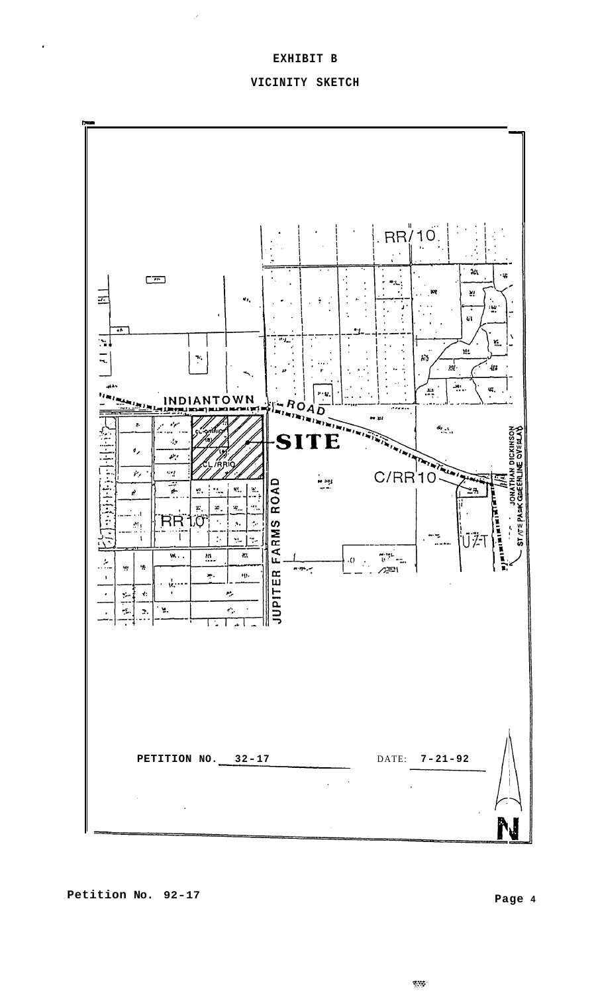# **EXHIBIT B**

## **VICINITY SKETCH**



**Petition No. 92-17 Page 4** 

 $\mathbf{r}$ 

 $\mathbb{R}^{m}$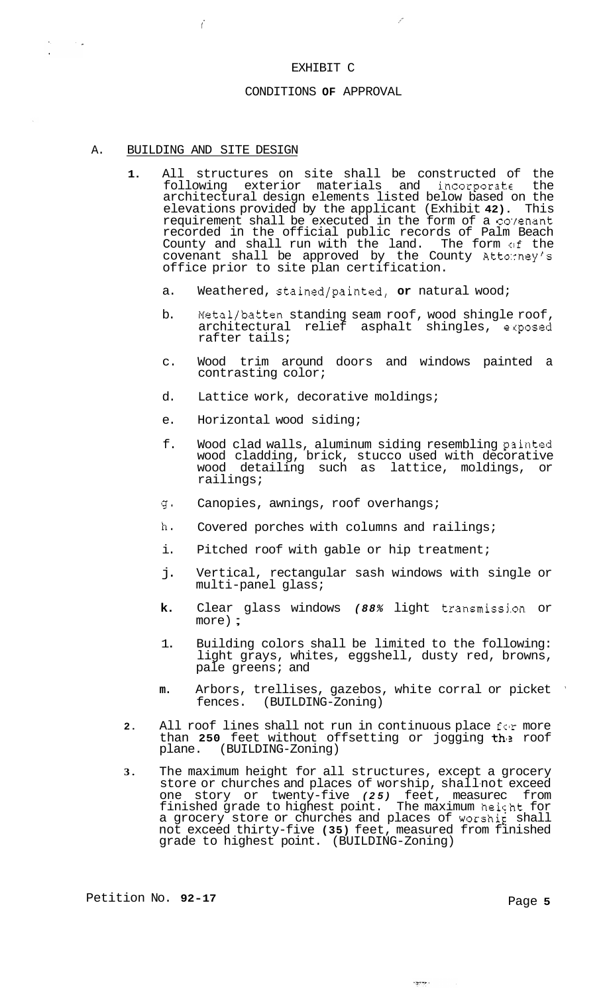#### EXHIBIT C

سمي

#### CONDITIONS **OF** APPROVAL

#### A. BUILDING AND SITE DESIGN

*i* 

 $\sim$   $\sim$ 

- **1.** All structures on site shall be constructed of the following exterior materials and incorporate the architectural design elements listed below based on the elevations provided by the applicant (Exhibit **42).** This requirement shall be executed in the form of a coyenant recorded in the official public records of Palm Beach County and shall run with the land. The form of the covenant shall be approved by the County Atto:rney's office prior to site plan certification.
	- a. Weathered, stained/painted, **or** natural wood;
	- b. Metal/batten standing seam roof, wood shingle roof, architectural relief asphalt shingles, exposed rafter tails;
	- c. Wood trim around doors and windows painted a contrasting color;
	- d. Lattice work, decorative moldings;
	- e. Horizontal wood siding;
	- f. Wood clad walls, aluminum siding resembling p3inted wood cladding, brick, stucco used with decorative wood detailing such as lattice, moldings, or railings;
	- g. Canopies, awnings, roof overhangs;
	- h. Covered porches with columns and railings;
	- i. Pitched roof with gable or hip treatment;
	- j. Vertical, rectangular sash windows with single or multi-panel glass;
	- **k.** Clear glass windows *(88%* light transmissj.on or more) ;
	- 1. Building colors shall be limited to the following: light grays, whites, eggshell, dusty red, browns, pale greens; and
	- **m.** Arbors, trellises, gazebos, white corral or picket ' fences. (BUILDING-Zoning)
- **2.** All roof lines shall not run in continuous place for more than **250** feet without offsetting or jogging the roof plane. (BUILDING-Zoning) (BUILDING-Zoning)
- **3.** The maximum height for all structures, except a grocery store or churches and places of worship, shallnot exceed one story or twenty-five *(25)* feet, measurec from finished grade to highest point. The maximum heicht for a grocery store or churches and places of worship shall not exceed thirty-five **(35)** feet, measured from finished grade to highest point. (BUILDING-Zoning)

 $\sim$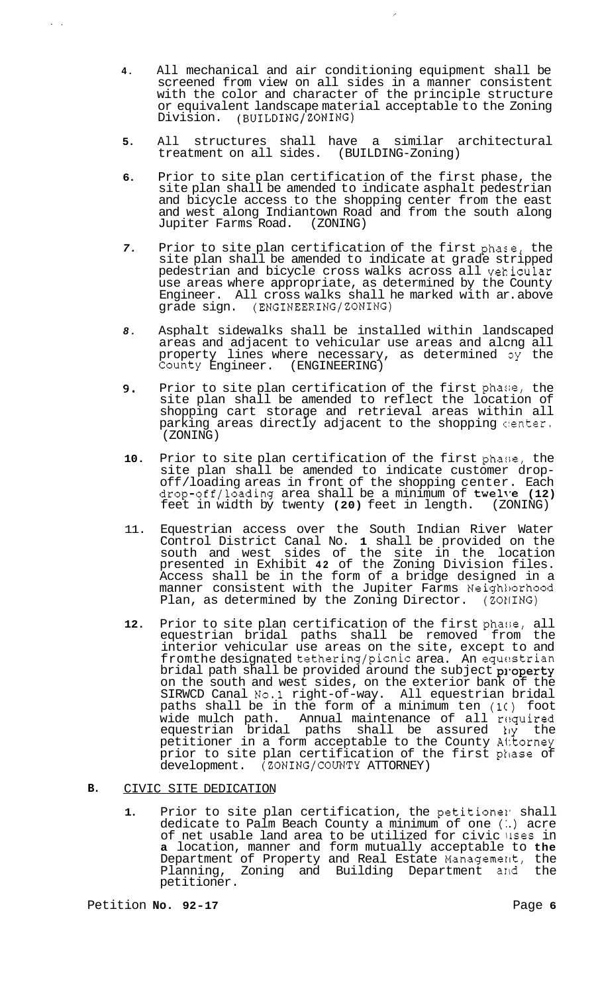**4.** All mechanical and air conditioning equipment shall be screened from view on all sides in a manner consistent with the color and character of the principle structure or equivalent landscape material acceptable to the Zoning Division. (BUILDING/ZONING)

 $\overline{\phantom{a}}$ 

- **5.** All structures shall have a similar architectural treatment on all sides. (BUILDING-Zoning)
- **6.** Prior to site plan certification of the first phase, the site plan shall be amended to indicate asphalt pedestrian and bicycle access to the shopping center from the east and west along Indiantown Road and from the south along Jupiter Farms Road. (ZONING)
- *7.* Prior to site plan certification of the first pha:e, the site plan shall be amended to indicate at grade stripped pedestrian and bicycle cross walks across all vekicular use areas where appropriate, as determined by the County Engineer. All cross walks shall he marked with ar. above grade sign. (ENGINEERING/ZONING)
- *8.* Asphalt sidewalks shall be installed within landscaped areas and adjacent to vehicular use areas and alcng all property lines where necessary, as determined  $\mathfrak{g}_Y$  the County Engineer. (ENGINEERING)
- **9.** Prior to site plan certification of the first phase, the site plan shall be amended to reflect the location of shopping cart storage and retrieval areas within all parking areas directly adjacent to the shopping center. (ZONING)
- **10.** Prior to site plan certification of the first phase, the site plan shall be amended to indicate customer dropsite plan shall be amended to indicate customer drop- off /loading areas in front of the shopping center. Each drop-off/loading area shall be a minimum of twel\,e **(12)**  feet in width by twenty **(20)** feet in length. (ZONING)
- 11. Equestrian access over the South Indian River Water Control District Canal No. **1** shall be provided on the south and west sides of the site in the location presented in Exhibit **42** of the Zoning Division files. Access shall be in the form of a bridge designed in a manner consistent with the Jupiter Farms Neigh1)orhood Plan, as determined by the Zoning Director.  $(20)$ ING)
- 12. Prior to site plan certification of the first phase, all equestrian bridal paths shall be removed from the interior vehicular use areas on the site, except to and fromthe designated tethering/picnic area. An equastrian bridal path shall be provided around the subject property on the south and west sides, on the exterior bank of the SIRWCD Canal No.1 right-of-way. All equestrian bridal paths shall be in the form of a minimum ten **(1C)** foot wide mulch path. Annual maintenance of all required equestrian bridal paths shall be assured **ky** the petitioner in a form acceptable to the County Alitorney prior to site plan certification of the first phase of development. (ZONING/COUNTY ATTORNEY)

#### **B.**  CIVIC SITE DEDICATION

1. Prior to site plan certification, the petitionel shall dedicate to Palm Beach County a minimum of one (.) acre of net usable land area to be utilized for civic llses in **a** location, manner and form mutually acceptable to **the**  Department of Property and Real Estate Management, the Planning, Zoning and Building Department and the petitioner.

..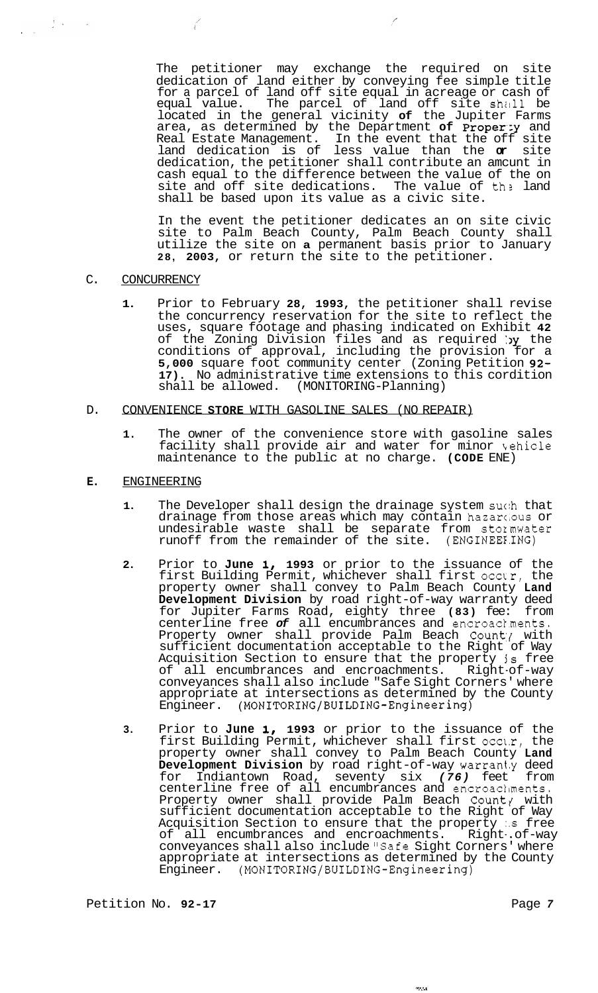The petitioner may exchange the required on site dedication of land either by conveying fee simple title for a parcel of land off site equal in acreage or cash of equal value. The parcel of land off site shall be located in the general vicinity **of** the Jupiter Farms area, as determined by the Department of Proper:y and Real Estate Management. In the event that the off site land dedication is of less value than the **or** site dedication, the petitioner shall contribute an amcunt in cash equal to the difference between the value of the on site and off site dedications. The value of the land shall be based upon its value as a civic site.

 $\mathcal{E}$ 

In the event the petitioner dedicates an on site civic site to Palm Beach County, Palm Beach County shall utilize the site on **a** permanent basis prior to January **28, 2003,** or return the site to the petitioner.

#### C. CONCURRENCY

 $\mathcal{L}$ 

 $\label{eq:2.1} \frac{1}{\sqrt{2\pi}}\left(\frac{1}{2}\right)^2\left(\frac{1}{2}\right)^2\left(\frac{1}{2}\right)^2.$ 

**1.** Prior to February **28, 1993,** the petitioner shall revise the concurrency reservation for the site to reflect the uses, square footage and phasing indicated on Exhibit **42**  of the Zoning Division files and as required by the conditions of approval, including the provision for a **5,000** square foot community center (Zoning Petition **92- 17).** No administrative time extensions to this cordition shall be allowed. (MONITORING-Planning)

#### D. CONVENIENCE **STORE** WITH GASOLINE SALES (NO REPAIR)

**1.** The owner of the convenience store with gasoline sales facility shall provide air and water for minor kehicle maintenance to the public at no charge. **(CODE** ENE)

#### **E.** ENGINEERING

- 1. The Developer shall design the drainage system such that drainage from those areas which may contain hazarc.ous or undesirable waste shall be separate from stoxmwater runoff from the remainder of the site. (ENGINEEE.ING)
- 2. Prior to June 1, 1993 or prior to the issuance of the first Building Permit, whichever shall first occur, the property owner shall convey to Palm Beach County **Land Development Division** by road right-of-way warranty deed for Jupiter Farms Road, eighty three **(83)** fee: from centerline free *of* all encumbrances and encroac1.ments. Property owner shall provide Palm Beach County with sufficient documentation acceptable to the Right of Way Acquisition Section to ensure that the property **js** free of all encumbrances and encroachments. Right-of-way conveyances shall also include "Safe Sight Corners' where appropriate at intersections as determined by the County Engineer. **(MONITORING/BUILDING-Engineering)**
- **3.** Prior to **June 1, 1993** or prior to the issuance of the first Building Permit, whichever shall first occl.r, the property owner shall convey to Palm Beach County **Land Development Division** by road right-of-way warran1.y deed for Indiantown Road, seventy six *(76)* feet from centerline free of all encumbrances and encroacliments. Property owner shall provide Palm Beach Count, with sufficient documentation acceptable to the Right of Way Acquisition Section to ensure that the property *:.s* free of all encumbrances and encroachments. Right-.of-way conveyances shall also include "Safe Sight Corners' where sonic<sub>2</sub> anses shown about the county<br>appropriate at intersections as determined by the County<br>Engineer. (MONITORING/BUILDING-Engineering) Engineer. **(MONITORING/BUILDING-Engineering)**

 $\sigma_{\rm CMB}$ 

Petition No. 92-17 **Page 7 Page 7**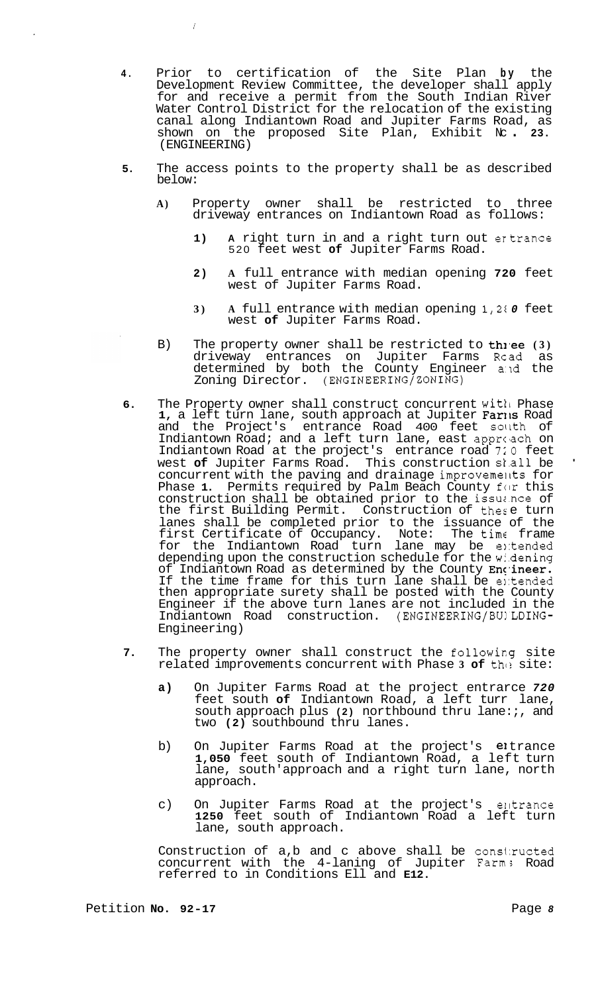**4.** Prior to certification of the Site Plan **by** the Development Review Committee, the developer shall apply for and receive a permit from the South Indian River Water Control District for the relocation of the existing canal along Indiantown Road and Jupiter Farms Road, as shown on the proposed Site Plan, Exhibit Nc . **23.**  (ENGINEERING)

*i* 

- **5.** The access points to the property shall be as described below:
	- **A)** Property owner shall be restricted to three driveway entrances on Indiantown Road as follows:
		- **1) A** right turn in and a right turn out ertrance 520 feet west **of** Jupiter Farms Road.
		- **2) A** full entrance with median opening **720** feet west of Jupiter Farms Road.
		- **3) A** full entrance with median opening **1,21** *0* feet west **of** Jupiter Farms Road.
	- B) The property owner shall be restricted to thiee (3) driveway entrances on Jupiter Farms Rcad as determined by both the County Engineer a:ld the Zoning Director. (ENGINEERING/ZONING)
- **6.** The Property owner shall construct concurrent witli Phase 1, a left turn lane, south approach at Jupiter Faris Road and the Project's entrance Road 400 feet sollth of Indiantown Road; and a left turn lane, east approach on Indiantown Road at the project's entrance road *720* feet west **of** Jupiter Farms Road. This construction st.all be ' concurrent with the paving and drainage improvemeiks for Phase 1. Permits required by Palm Beach County for this construction shall be obtained prior to the issuance of the first Building Permit. Construction of these turn lanes shall be completed prior to the issuance of the first Certificate of Occupancy. Note: The time frame for the Indiantown Road turn lane may be entended depending upon the construction schedule for the widening of Indiantown Road as determined by the County Encineer. If the time frame for this turn lane shall be entended then appropriate surety shall be posted with the County Engineer if the above turn lanes are not included in the Indiantown Road construction. (ENGINEERING/BU!LDING-Engineering)
- **7.** The property owner shall construct the followirg site related improvements concurrent with Phase 3 of the site:
	- **a)** On Jupiter Farms Road at the project entrarce *720*  feet south **of** Indiantown Road, a left turr lane, south approach plus **(2)** northbound thru lane:;, and two **(2)** southbound thru lanes.
	- b) On Jupiter Farms Road at the project's eltrance **1,050** feet south of Indiantown Road, a left turn lane, south'approach and a right turn lane, north approach.
	- c) On Jupiter Farms Road at the project's elltrance **1250** feet south of Indiantown Road a left turn lane, south approach.

Construction of a,b and c above shall be constructed concurrent with the 4-laning of Jupiter Farm; Road referred to in Conditions Ell and **E12.**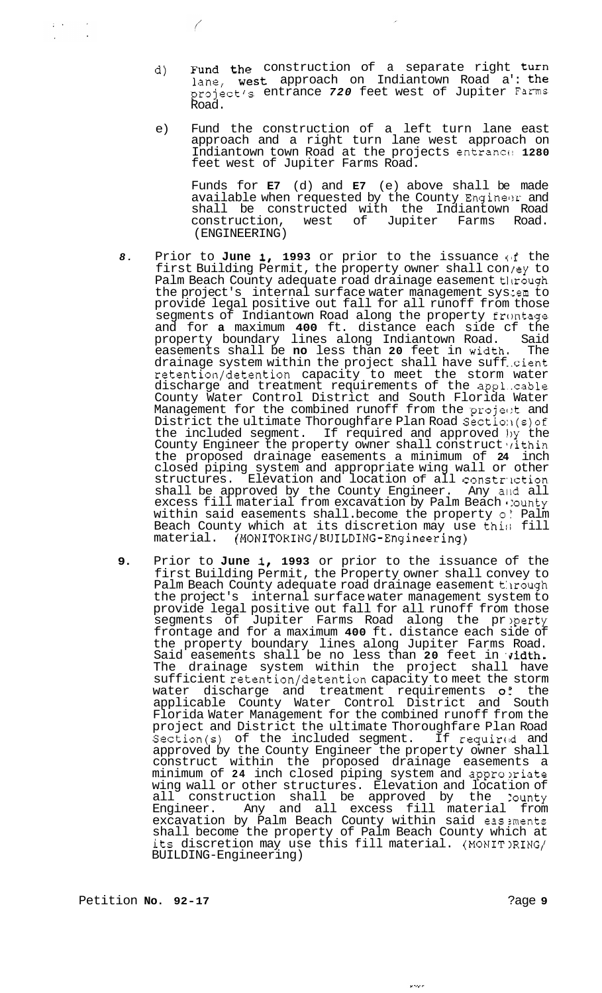- d) Fund the construction of a separate right turn lane, west approach on Indiantown Road a': the project's entrance *720* feet west of Jupiter Farms Road.
- e) Fund the construction of a left turn lane east approach and a right turn lane west approach on Indiantown town Road at the projects entrancc! **1280**  feet west of Jupiter Farms Road.

Funds for **E7** (d) and **E7** (e) above shall be made available when requested by the County Engineer and shall be constructed with the Indiantown Road construction, west of Jupiter Farms Road. (ENGINEERING)

- 8. Prior to June 1, 1993 or prior to the issuance of the first Building Permit, the property owner shall con/ey to Palm Beach County adequate road drainage easement through the project's internal surface water management sys :em to provide legal positive out fall for all runoff from those segments of Indiantown Road along the property frontage and for **a** maximum **400** ft. distance each side cf the property boundary lines along Indiantown Road. easements shall be **no** less than **20** feet in widtha The drainage system within the project shall have suff ..cient retention/detention capacity to meet the storm water discharge and treatment requirements of the appl..cable County Water Control District and South Florida Water Management for the combined runoff from the projent and District the ultimate Thoroughfare Plan Road Section (s) of the included segment. If required and approved 1)y the County Engineer the property owner shall construct vithin the proposed drainage easements a minimum of **24** inch closed piping system and appropriate wing wall or other structures. Elevation and location of all constr'lction shall be approved by the County Engineer. Any and all excess fill material from excavation by Palm Beach 1:ounty within said easements shall. become the property  $\circ$ : Palm Beach County which at its discretion may use this fill material. (MONITORING/BUILDING-Engineering) material. **(MONITORING/BUILDING-Engineering)**
- 9. Prior to June 1, 1993 or prior to the issuance of the first Building Permit, the Property owner shall convey to Palm Beach County adequate road drainage easement through the project's internal surface water management system to provide legal positive out fall for all runoff from those segments of Jupiter Farms Road along the property frontage and for a maximum **400** ft. distance each side of the property boundary lines along Jupiter Farms Road. Said easements shall be no less than 20 feet in v**idth.** The drainage system within the project shall have sufficient retention/detention capacity to meet the storm water discharge and treatment requirements *0'* the applicable County Water Control District and South Florida Water Management for the combined runoff from the project and District the ultimate Thoroughfare Plan Road Section(s) of the included segment. If required and approved by the County Engineer the property owner shall construct within the proposed drainage easements a minimum of **24** inch closed piping system and appro?riate wing wall or other structures. Elevation and location of all construction shall be approved by the :ounty Engineer. Any and all excess fill material from excavation by Palm Beach County within said eas ments shall become the property of Palm Beach County which at its discretion may use this fill material. (MONIT)RING/ BUILDING-Engineering)

 $f_{\rm c}$  ,  $\sim$ 

 $\bigg($ 

se este e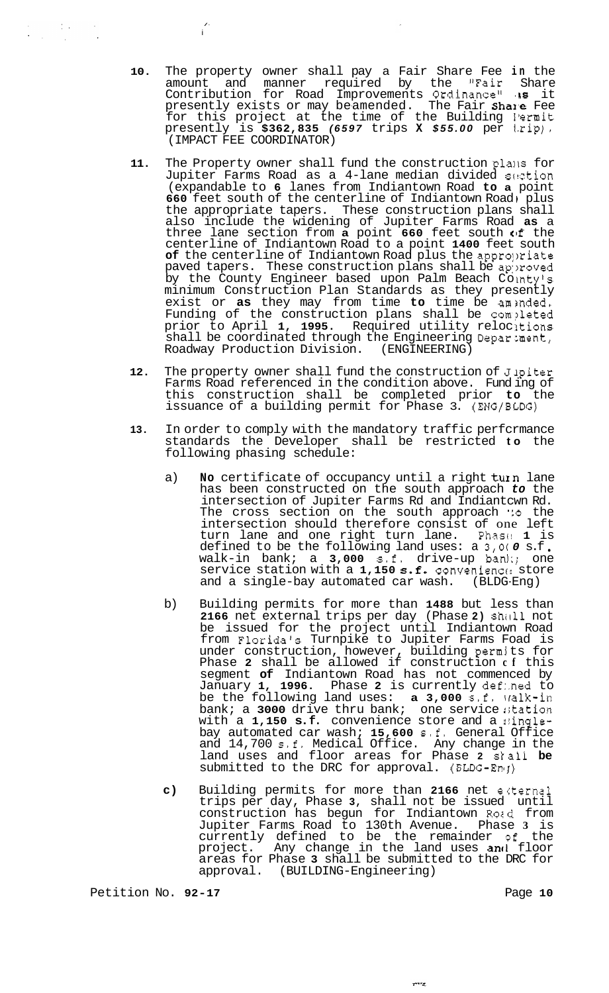**10.** The property owner shall pay a Fair Share Fee **in** the amount and manner required by the "Fair Share Contribution for Road Improvements Ordinance" **,s** it presently exists or may beamended. The Fair Share Fee for this project at the time of the Building Permit presently is **\$362,835** *(6597* trips **X** *\$55.00* per Izip). (IMPACT FEE COORDINATOR)

i /-

- 11. The Property owner shall fund the construction plans for Jupiter Farms Road as a 4-lane median divided section (expandable to **6** lanes from Indiantown Road **to a** point **660** feet south of the centerline of Indiantown Road, plus the appropriate tapers. These construction plans shall also include the widening of Jupiter Farms Road **as** a three lane section from **a** point **660** feet south **of** the centerline of Indiantown Road to a point **1400** feet south of the centerline of Indiantown Road plus the appropriate paved tapers. These construction plans shall be approved by the County Engineer based upon Palm Beach Cointy's minimum Construction Plan Standards as they presently exist or as they may from time to time be aminded. Funding of the construction plans shall be completed prior to April 1, 1995. Required utility relocitions shall be coordinated through the Engineering Department, Roadway Production Division. (ENGINEERING)
- 12. The property owner shall fund the construction of Jipiter Farms Road referenced in the condition above. Fund ing of this construction shall be completed prior **to** the issuance of a building permit for Phase 3. (ENG/BLDG)
- **13.** In order to comply with the mandatory traffic perfcrmance standards the Developer shall be restricted **to** the following phasing schedule:
	- a) **No** certificate of occupancy until a right turn lane has been constructed on the south approach *to* the intersection of Jupiter Farms Rd and Indiantcwn Rd. The cross section on the south approach **':o** the intersection should therefore consist of one left<br>turn lane and one right turn lane. Phase 1 is turn lane and one right turn lane. Phasc! **1** is defined to be the following land uses: a **3,0(** *0* s.f walk-in bank; a **3,000** s.f. drive-up ban];; one service station with a 1,150 s.f. convenience store<br>and a single-bay automated car wash. (BLDG-Eng) and a single-bay automated car wash.
	- b) Building permits for more than **1488** but less than **2166** net external trips per day (Phase **2)** shill1 not be issued for the project until Indiantown Road from Florida's Turnpike to Jupiter Farms Foad is under construction, however, building permj ts for Phase **2** shall be allowed if construction **cf** this segment **of** Indiantown Road has not commenced by January **1, 1996.** Phase **2** is currently def:.ned to be the following land uses: **a 3,000** s.f. lralk-in bank; a 3000 drive thru bank; one service station with a 1,150 s.f. convenience store and a singlebay automated car wash; **15,600** s.f. General Office and 14,700 s.f. Medical Office. Any change in the land uses and floor areas for Phase **2** stall **be**  submitted to the DRC for approval. (BLDG-Eng)
	- **c)** Building permits for more than **2166** net ecternal trips per day, Phase **3,** shall not be issued until construction has begun for Indiantown Rozd from Jupiter Farms Road to 130th Avenue. Phase **3** is currently defined to be the remainder of the project. Any change in the land uses **an**d floor areas for Phase **3** shall be submitted to the DRC for approval. (BUILDING-Engineering)

service.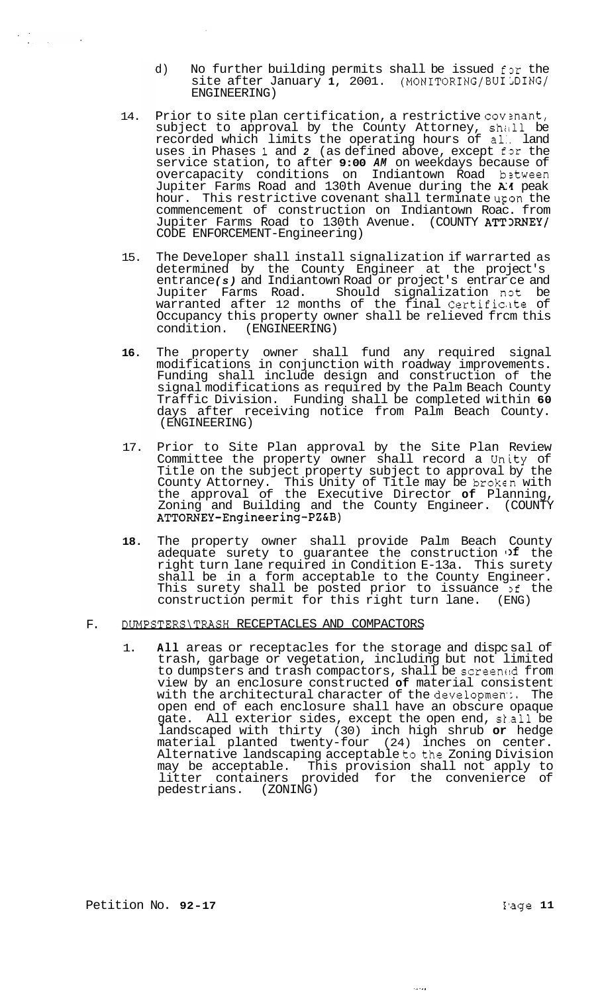- d) No further building permits shall be issued for the site after January 1, 2001. (MONITORING/BUILDING/ ENGINEERING)
- 14. Prior to site plan certification, a restrictive covenant, subject to approval by the County Attorney, shall be recorded which limits the operating hours of al:. land uses in Phases 1 and 2 (as defined above, except for the service station, to after **9:00** *AM* on weekdays because of overcapacity conditions on Indiantown Road b2tween Jupiter Farms Road and 130th Avenue during the *X4* peak hour. This restrictive covenant shall terminate upon the commencement of construction on Indiantown Roac. from Jupiter Farms Road to 130th Avenue. (COUNTY ATT3RNEY/ CODE ENFORCEMENT-Engineering)
- 15. The Developer shall install signalization if warrarted as determined by the County Engineer at the project's entrance *(s)* and Indiantown Road or project's entrar ce and Jupiter Farms Road. Should signalization not be warranted after 12 months of the final Certificite of Occupancy this property owner shall be relieved frcm this condition. (ENGINEERING) (ENGINEERING)
- **16.**  The property owner shall fund any required signal modifications in conjunction with roadway improvements. Funding shall include design and construction of the signal modifications as required by the Palm Beach County Traffic Division. Funding shall be completed within **60**  days after receiving notice from Palm Beach County. (ENGINEERING)
- 17. Prior to Site Plan approval by the Site Plan Review Committee the property owner shall record a Unity of Title on the subject property subject to approval by the County Attorney. This Unity of Title may be brokcn with the approval of the Executive Director **of** Planning, Zoning and Building and the County Engineer. (COUNTY **ATTORNEY-Engineering-PZ&B)**
- **18.**  The property owner shall provide Palm Beach County adequate surety to guarantee the construction  $\mathfrak{p}$  the right turn lane required in Condition E-13a. This surety shall be in a form acceptable to the County Engineer. This surety shall be posted prior to issuance 3f the construction permit for this right turn lane. (ENG)

#### F. DUMPSTERS\TRASH RECEPTACLES AND COMPACTORS

1. **All** areas or receptacles for the storage and dispc sal of trash, garbage or vegetation, including but not limited to dumpsters and trash compactors, shall be screemid from view by an enclosure constructed **of** material consistent with the architectural character of the developmen:. The open end of each enclosure shall have an obscure opaque gate. All exterior sides, except the open end, shall be landscaped with thirty (30) inch high shrub **or** hedge material planted twenty-four (24) inches on center. Alternative landscaping acceptable to the Zoning Division may be acceptable. This provision shall not apply to litter containers provided for the convenierce of pedestrians. (ZONING)

 $\frac{1}{2} \int_{\mathbb{R}^2} \left| \frac{d\mathbf{x}}{d\mathbf{x}} \right|^2 \, d\mathbf{x}$ 

ولأدب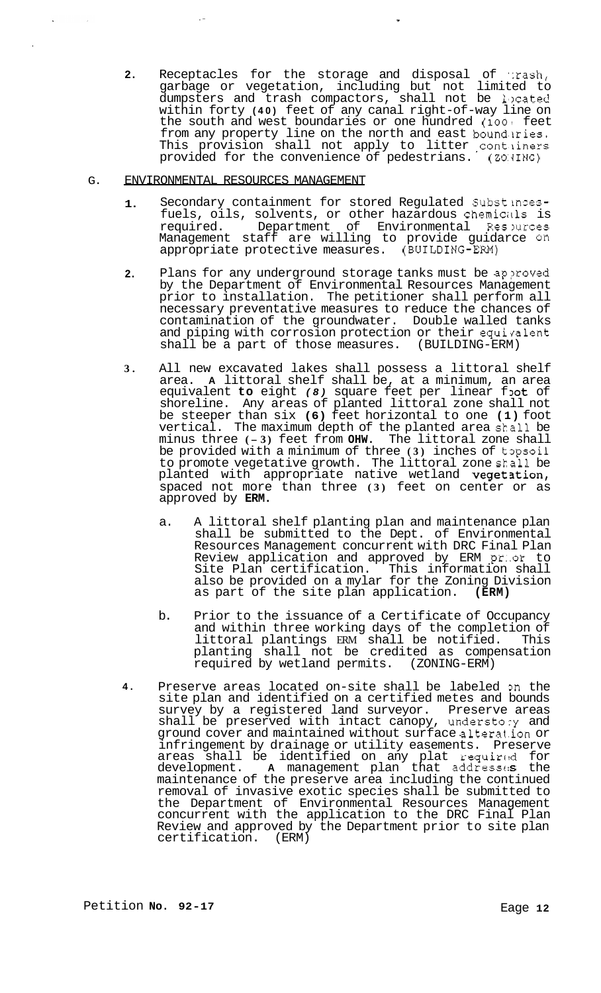**2.** Receptacles for the storage and disposal of  $\pi$ ash, garbage or vegetation, including but not limited to dumpsters and trash compactors, shall not be 1,)cated within forty **(40)** feet of any canal right-of-way line on the south and west boundaries or one hundred **(1001** feet from any property line on the north and east boundaries. This provision shall not apply to litter contiiners provided for the convenience of pedestrians. (Z0:JING)

,

#### G. ENVIRONMENTAL RESOURCES MANAGEMENT

- **1.**  Secondary containment for stored Regulated Substincesfuels, oils, solvents, or other hazardous chemicills is required. Department of Environmental Reslurces Management staff are willing to provide guidarce on appropriate protective measures. (BUILDING-EM)
- **2.**  Plans for any underground storage tanks must be approved by the Department of Environmental Resources Management prior to installation. The petitioner shall perform all necessary preventative measures to reduce the chances of contamination of the groundwater. Double walled tanks and piping with corrosion protection or their equivalent shall be a part of those measures. (BUILDING-ERM)
- **3.**  All new excavated lakes shall possess a littoral shelf area. **A** littoral shelf shall be, at a minimum, an area equivalent **to** eight *(8)* square feet per linear foot of shoreline. Any areas of planted littoral zone shall not be steeper than six **(6)** feet horizontal to one **(1)** foot vertical. The maximum depth of the planted area shall be minus three **(- 3)** feet from **OHW.** The littoral zone shall be provided with a minimum of three (3) inches of topsoil to promote vegetative growth. The littoral zone skall be planted with appropriate native wetland **vegetation,** spaced not more than three **(3)** feet on center or as approved by **ERM.** 
	- a. A littoral shelf planting plan and maintenance plan shall be submitted to the Dept. of Environmental Resources Management concurrent with DRC Final Plan Review application and approved by ERM pr..or to Site Plan certification. This information shall also be provided on a mylar for the Zoning Division as part of the site plan application. **(ERM)**
	- b. Prior to the issuance of a Certificate of Occupancy and within three working days of the completion of littoral plantings ERM shall be notified. This planting shall not be credited as compensation<br>required by wetland permits. (ZONING-ERM) required by wetland permits.
- **4.**  Preserve areas located on-site shall be labeled on the site plan and identified on a certified metes and bounds survey by a registered land surveyor. Preserve areas shall be preserved with intact canopy, understory and ground cover and maintained without surface altera1.ion or infringement by drainage or utility easements. Preserve areas shall be identified on any plat required for development. **A** management plan that addresses the maintenance of the preserve area including the continued removal of invasive exotic species shall be submitted to the Department of Environmental Resources Management concurrent with the application to the DRC Final Plan Review and approved by the Department prior to site plan certification. (ERM)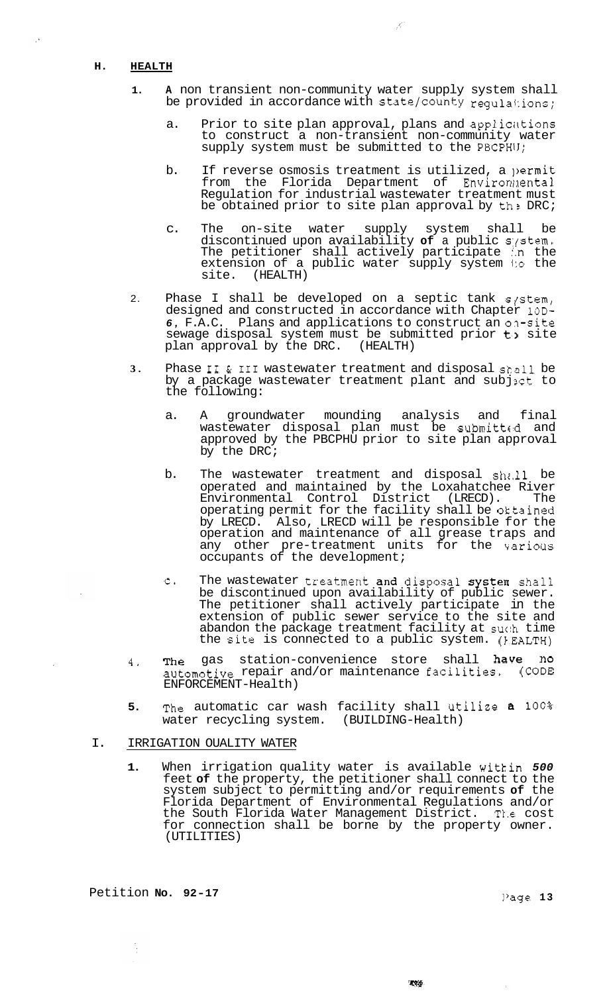#### **H. HEALTH**

 $\ddot{\phantom{a}}$ 

- **1. A** non transient non-community water supply system shall be provided in accordance with state/county requistions;
	- a. Prior to site plan approval, plans and applications to construct a non-transient non-community water supply system must be submitted to the PBCPHU;
	- b. If reverse osmosis treatment is utilized, a permit from the Florida Department of Environmental Regulation for industrial wastewater treatment must be obtained prior to site plan approval by  $th \geq DRC$ ;
	- c. The on-site water supply system shall be discontinued upon availability of a public system. The petitioner shall actively participate I.n the extension of a public water supply system to the site. (HEALTH)
- 2. Phase I shall be developed on a septic tank  $s/stem/$ designed and constructed in accordance with Chapter 10D-*6,* F.A.C. Plans and applications to construct an o?-site sewage disposal system must be submitted prior  $t$ , site plan approval by the DRC. (HEALTH) plan approval by the DRC.
- **3.** Phase I1 & I11 wastewater treatment and disposal shall be by a package wastewater treatment plant and subjict to the following:
	- a. A groundwater mounding analysis and final wastewater disposal plan must be submitted and approved by the PBCPHU prior to site plan approval  $b^{-}$  the DRC;
	- b. The wastewater treatment and disposal  $sh$ .11 be operated and maintained by the Loxahatchee River<br>Environmental Control District (LRECD). The Environmental Control District operating permit for the facility shall be oktained by LRECD. Also, LRECD will be responsible for the operation and maintenance of all grease traps and any other pre-treatment units for the various occupants of the development;
	- c. The wastewater treatment and disposal system shall be discontinued upon availability of public sewer. The petitioner shall actively participate in the extension of public sewer service to the site and abandon the package treatment facility at such time the Site is connected to a public system. (IEALTH)
- **4.** The gas station-convenience store shall have no automotive repair and/or maintenance facilities, (CODE ENFORCEMENT-Health)
- **5.** The automatic car wash facility shall Utilize a **100%**  water recycling system. (BUILDING-Health)

#### I. IRRIGATION OUALITY WATER

**1.** When irrigation quality water is available witkin *500*  feet **of** the property, the petitioner shall connect to the system subject to permitting and/or requirements **of** the Florida Department of Environmental Regulations and/or the South Florida Water Management District. The cost for connection shall be borne by the property owner. (UTILITIES)

 $\mathcal{K}\times\mathcal{S}$ 

Petition **No. 92-17** ]'age **13** 

È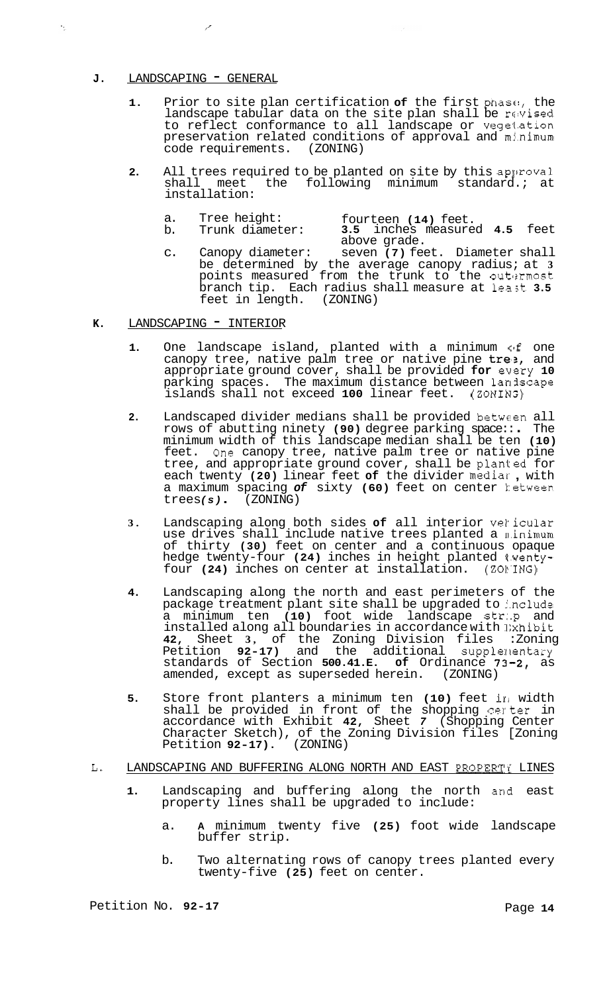## J. LANDSCAPING - GENERAL

 $\epsilon_{\rm eq}$ 

- **1.** Prior to site plan certification **of** the first phasc!, the landscape tabular data on the site plan shall be revised to reflect conformance to all landscape or veget.ation preservation related conditions of approval and mj.nimum code requirements. (ZONING)
- **2.** All trees required to be planted on site by this approval<br>shall meet the following minimum standard.; at the following minimum standard.; at installation:
	-
	- a. Tree height: fourteen (14) feet.<br>b. Trunk diameter: 3.5 inches measure b. Trunk diameter: **3.5** inches measured **4.5** feet
	- c. Canopy diameter: seven **(7)** feet. Diameter shall be determined by the average canopy radius; at **3**  points measured from the trunk to the outlxmost branch tip. Each radius shall measure at least 3.5 feet in length. (ZONING) feet in length. above grade.
- **K.** LANDSCAPING INTERIOR
	- 1. One landscape island, planted with a minimum of one canopy tree, native palm tree or native pine  $tre:$ , and appropriate ground cover, shall be provided **for** every **10**  parking spaces. The maximum distance between landscape<br>islands shall not exceed 100 linear feet. (ZONING) islands shall not exceed 100 linear feet.
	- **2.** Landscaped divider medians shall be provided between all Landscaped divider medians shall be provided between all<br>rows of abutting ninety **(90)** degree parking space:: . The minimum width of this landscape median shall be ten **(10)**  feet. One canopy tree, native palm tree or native pine tree, and appropriate ground cover, shall be planted for each twenty **(20)** linear feet **of** the divider mediar , with a maximum spacing of sixty (60) feet on center hetween<br>trees(s). (ZONING)
	- **3.** Landscaping along both sides **of** all interior vekicular use drives shall include native trees planted a minimum of thirty **(30)** feet on center and a continuous opaque hedge twenty-four (24) inches in height planted twentyfour (24) inches on center at installation. (ZONING)
	- **4.** Landscaping along the north and east perimeters of the package treatment plant site shall be upgraded to include a minimum ten **(10)** foot wide landscape str:.p and installed along all boundaries in accordance with lixhibit **42,** Sheet **3,** of the Zoning Division files :Zoning Petition 92-17) and the additional supplementary standards of Section **500.41.E. of** Ordinance **73-2,** as amended, except as superseded herein.
	- **5.** Store front planters a minimum ten **(10)** feet iri width shall be provided in front of the shopping certer in accordance with Exhibit **42,** Sheet *7* (Shopping Center Character Sketch), of the Zoning Division files [Zoning Petition **92-17).** (ZONING)

#### L. LANDSCAPING AND BUFFERING ALONG NORTH AND EAST PROPERTY LINES

- **1.** Landscaping and buffering along the north and east property lines shall be upgraded to include:
	- a. **A** minimum twenty five **(25)** foot wide landscape buffer strip.
	- b. Two alternating rows of canopy trees planted every twenty-f ive **(25)** feet on center.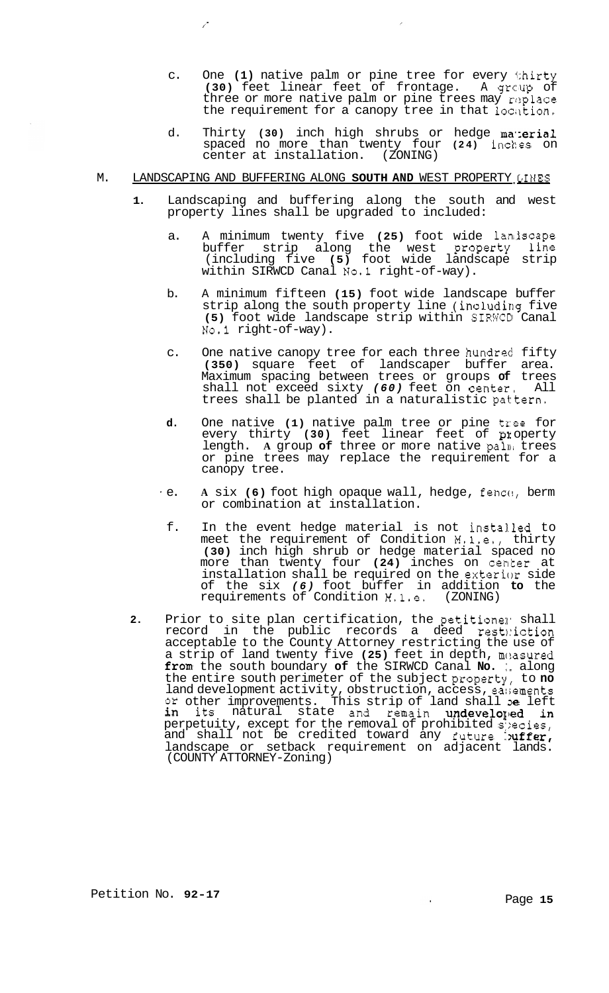- c. One **(1)** native palm or pine tree for every thirty **(30)** feet linear feet of frontage. A grc:up of three or more native palm or pine trees may replace the requirement for a canopy tree in that location,
- d. Thirty **(30)** inch high shrubs or hedge ma.;erial spaced no more than twenty four **(24)** inches on center at installation. (ZONING)

#### M. LANDSCAPING AND BUFFERING ALONG SOUTH AND WEST PROPERTY LINES

/'

- **1.** Landscaping and buffering along the south and west property lines shall be upgraded to included:
	- a. A minimum twenty five (25) foot wide laniscape buffer strip along the west property line (including five **(5)** foot wide landscape strip within SIRWCD Canal No.1 right-of-way).
	- b. A minimum fifteen **(15)** foot wide landscape buffer strip along the south property line (including five (5) foot wide landscape strip within SIRWCD Canal No.1 right-of-way).
	- c. One native canopy tree for each three hundred fifty **(350)** square feet of landscaper buffer area. Maximum spacing between trees or groups **of** trees shall not exceed sixty *(60)* feet on center, All trees shall be planted in a naturalistic pat:tern.
	- **d.** One native **(1)** native palm tree or pine tree for every thirty **(30)** feet linear feet of **PI:** operty length. A group of three or more native palm trees or pine trees may replace the requirement for a canopy tree.
	- ' e. **A** six **(6)** foot high opaque wall, hedge, fencc!, berm or combination at installation.
		- f. In the event hedge material is not instal.led to meet the requirement of Condition M.l.e., thirty **(30)** inch high shrub or hedge material spaced no more than twenty four **(24)** inches on center at installation shall be required on the exterior side of the six *(6)* foot buffer in addition **to** the requirements of Condition  $M, 1, e$ ,
- 2. Prior to site plan certification, the petitione: shall record in the public records a deed resthiction acceptable to the County Attorney restricting the use of a strip of land twenty five **(25)** feet in depth, mciasured from the south boundary **of** the SIRWCD Canal **No.** :. along the entire south perimeter of the subject property, to **no**  land development activity, obstruction, access, easements or other improvements. This strip of land shall **e** left in its natural state and remain undeveloped in perpetuity, except for the removal of prohibited s:)ecies, and shall not be credited toward any future  $\cdot$ uffer, landscape or setback requirement on adjacent lands. (COUNTY ATTORNEY-Zoning)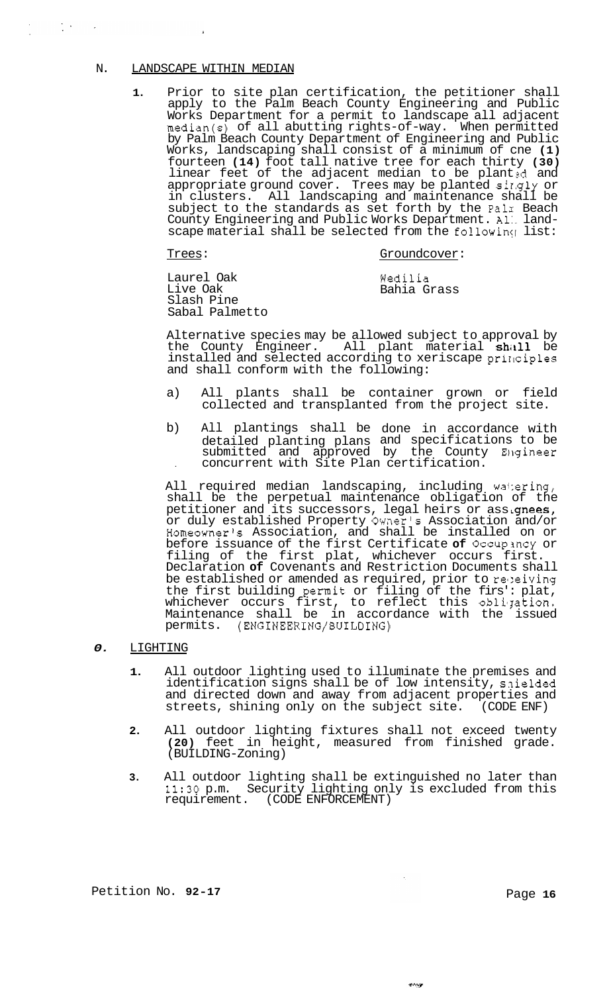#### N. LANDSCAPE WITHIN MEDIAN

 $\sim 100$ 

 $\sim$   $\sim$ 

**1.** Prior to site plan certification, the petitioner shall apply to the Palm Beach County Engineering and Public Works Department for a permit to landscape all adjacent median(s) of all abutting rights-of-way. When permitted by Palm Beach County Department of Engineering and Public Works, landscaping shall consist of a minimum of cne **(1)**  fourteen **(14)** foot tall native tree for each thirty **(30)**  linear feet of the adjacent median to be planted and appropriate ground cover. Trees may be planted singly or in clusters. All landscaping and maintenance shall be subject to the standards as set forth by the Palm Beach County Engineering and Public Works Department. Al:. land-<br>scape material shall be selected from the following list:

# Trees: Groundcover:

Laurel Oak Live Oak Slash Pine Sabal Palmetto Wedilia Bahia Grass

Alternative species may be allowed subject to approval by the County Engineer. All plant material shall be installed and selected according to xeriscape principles and shall conform with the following:

- a) All plants shall be container grown or field collected and transplanted from the project site.
- b) All plantings shall be done in accordance with detailed planting plans and specifications to be submitted and approved by the County Blgineer . concurrent with Site Plan certification.

All required median landscaping, including wattering, shall be the perpetual maintenance obligation of the petitioner and its successors, legal heirs or assignees, or duly established Property Owner's Association and/or Homeowner's Association, and shall be installed on or before issuance of the first Certificate **of** Occupmcy or filing of the first plat, whichever occurs first. Declaration **of** Covenants and Restriction Documents shall be established or amended as required, prior to relaiving the first building permit or filing of the firs': plat, whichever occurs first, to reflect this obligation. Maintenance shall be in accordance with the issued permits. (ENGINEERING/BUILDING)

#### *0.* LIGHTING

- **1.** All outdoor lighting used to illuminate the premises and identification signs shall be of low intensity, snielded and directed down and away from adjacent properties and streets, shining only on the subject site. (CODE ENF)
- **2.** All outdoor lighting fixtures shall not exceed twenty **(20)** feet in height, measured from finished grade. (BUILDING-Zoning)
- **3.** All outdoor lighting shall be extinguished no later than **11:30** p.m. Security lighting only is excluded from this requirement. (CODE ENFORCEMENT)

 $\mathcal{O}(\mathcal{A})$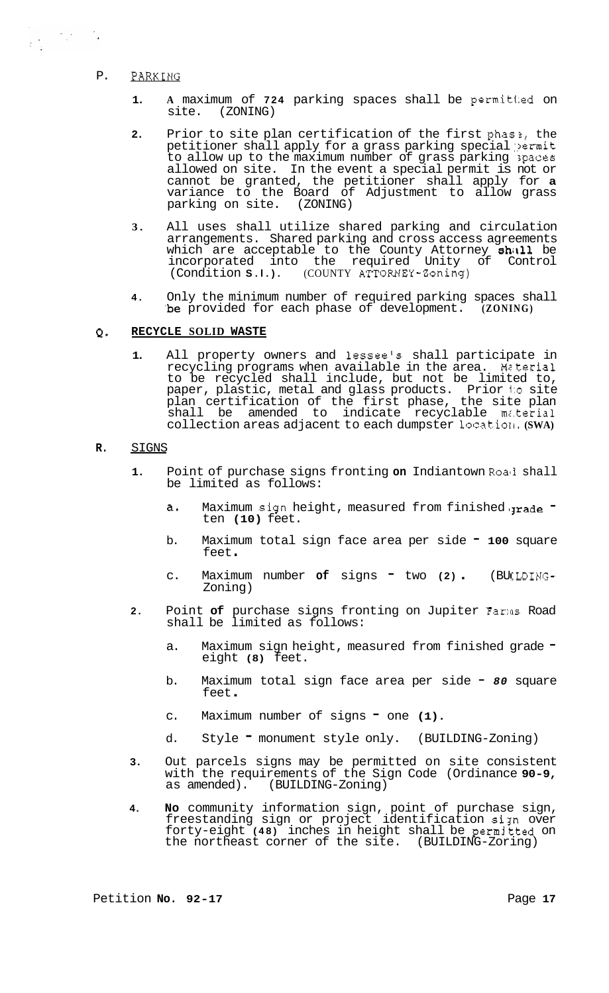## P. PARKING

- **1.** A maximum of **724** parking spaces shall be permitted on site. (ZONING) (ZONING)
- **2.** Prior to site plan certification of the first phas<sup>3</sup>, the petitioner shall apply for a grass parking special permit to allow up to the maximum number of grass parking spaces allowed on site. In the event a special permit is not or cannot be granted, the petitioner shall apply for **a**  variance to the Board of Adjustment to allow grass parking on site. (ZONING)
- **3.** All uses shall utilize shared parking and circulation arrangements. Shared parking and cross access agreements which are acceptable to the County Attorney shall be incorporated into the required Unity of Control (Condition **S.l.).** (COUNTY ATTORNEY-Zoning)
- **4.** Only the minimum number of required parking spaces shall .be provided for each phase of development. **(ZONING)**

#### **Q. RECYCLE SOLID WASTE**

**1.** All property owners and lessee's shall participate in recycling programs when available in the area. Material to be recycled shall include, but not be limited to, paper, plastic, metal and glass products. Prior i:o site plan certification of the first phase, the site plan shall be amended to indicate recyclable material collection areas adjacent to each dumpster locatioll. **(SWA)** 

#### **R.** SIGNS

- **1.** Point of purchase signs fronting **on** Indiantown Roali shall be limited as follows:
	- a. Maximum sign height, measured from finished grade ten **(10)** feet.
	- b. Maximum total sign face area per side **100** square Maximu<br>feet
	- c. Maximum number of signs two (2) . (BUILDING-Zoning)
- **2.** Point **of** purchase signs fronting on Jupiter Far:as Road shall be limited as follows:
	- a. Maximum sign height, measured from finished grade eight **(8)** feet.
	- b. Maximum total sign face area per side *80* square feet .
	- c. Maximum number of signs one **(1).**
	- d. Style " monument style only. (BUILDING-Zoning)
- **3.** Out parcels signs may be permitted on site consistent with the requirements of the Sign Code (Ordinance **90-9,**  as amended). (BUILDING-Zoning)
- **4. No** community information sign, point of purchase sign, freestanding sign or project identification sign over forty-eight **(48)** inches in height shall be permjtted on the northeast corner of the site. (BUILDING-Zoring)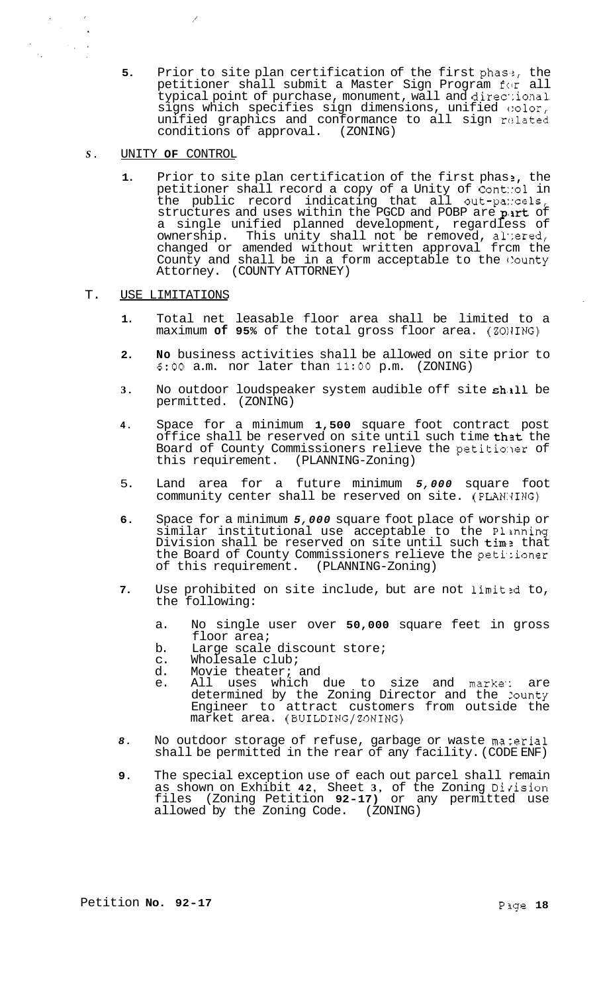- **5.** Prior to site plan certification of the first phase, the petitioner shall submit a Master Sign Program for all typical point of purchase, monument, wall and directional signs which specifies sign dimensions, unified  $\circ$ olor, unified graphics and conformance to all sign related conditions of approval. (ZONING) conditions of approval.
- *S.* UNITY **OF** CONTROL

 $\mathcal{E}$ 

 $\mathcal{O}_{\mathcal{A}}$  ,  $\mathcal{A}$ 

- **1.** Prior to site plan certification of the first phas **2,** the petitioner shall record a copy of a Unity of Cont::ol in the public record indicating that all out-pa::cels, structures and uses within the PGCD and POBP are part of a single unified planned development, regardless of ownership. This unity shall not be removed, al':ered, changed or amended without written approval frcm the County and shall be in a form acceptable to the County Attorney. (COUNTY ATTORNEY)
- T. USE LIMITATIONS
	- **1.** Total net leasable floor area shall be limited to a maximum **of 95%** of the total gross floor area. (ZOIJING)
	- **2. No** business activities shall be allowed on site prior to **6:OO** a.m. nor later than **11:OO** p.m. (ZONING)
	- **3.** No outdoor loudspeaker system audible off site shill be permitted. (ZONING)
	- **4.** Space for a minimum **1,500** square foot contract post office shall be reserved on site until such time that the Board of County Commissioners relieve the petitioner of this requirement. (PLANNING-Zoning)
	- 5. Land area for a future minimum *5,000* square foot community center shall be reserved on site. (PLAN: ING)
	- **6.** Space for a minimum *5,000* square foot place of worship or similar institutional use acceptable to the P1,inning Division shall be reserved on site until such tim: that the Board of County Commissioners relieve the petitioner<br>of this requirement. (PLANNING-Zoning) of this requirement.
	- 7. Use prohibited on site include, but are not limited to, the following:
		- a. No single user over **50,000** square feet in gross floor area;
		- b. Large scale discount store;
		- c. Wholesale club;<br>d. Movie theater;
		- Movie theater; and
		- e. All uses which due to size and marke: are determined by the Zoning Director and the Zounty Engineer to attract customers from outside the market area. (BUILDING/ZONING)
	- 8. No outdoor storage of refuse, garbage or waste material shall be permitted in the rear of any facility. (CODE ENF)
	- **9.** The special exception use of each out parcel shall remain as shown on Exhibit 42, Sheet 3, of the Zoning Division files (Zoning Petition **92-17)** or any permitted use allowed by the Zoning Code. (ZONING)

 $\mathcal{L}_{\mathcal{C}}$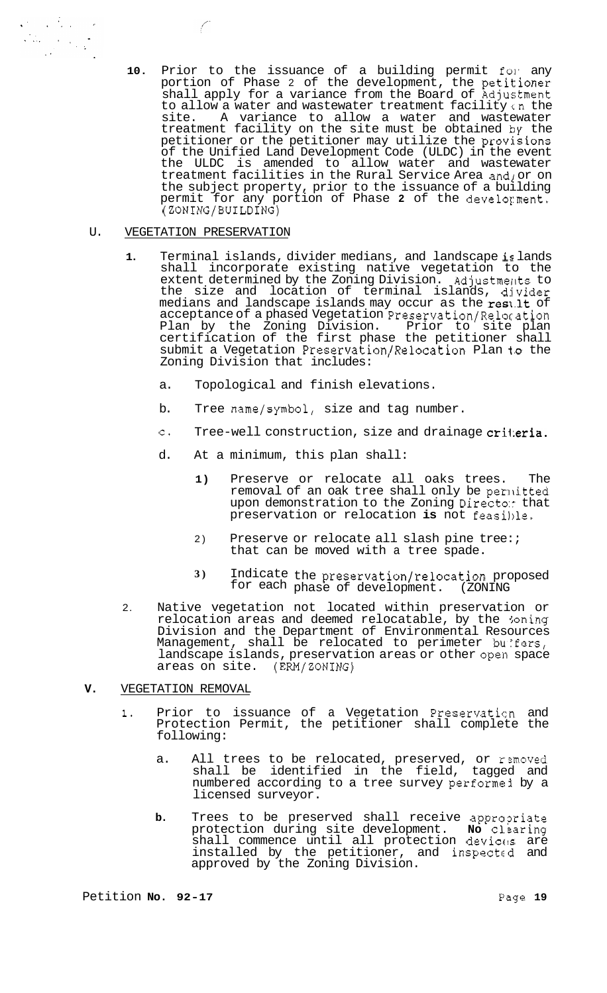10. Prior to the issuance of a building permit for any portion of Phase 2 of the development, the petitioner shall apply for a variance from the Board of Adjustment to allow a water and wastewater treatment facility cn the site. A variance to allow a water and wastewater treatment facility on the site must be obtained **by** the petitioner or the petitioner may utilize the provisions of the Unified Land Development Code (ULDC) in the event the ULDC is amended to allow water and wastewater treatment facilities in the Rural Service Area and/or on the subject property, prior to the issuance of a building permit for any portion of Phase **2** of the develoyment. (ZONING/BUILDING)

#### U. VEGETATION PRESERVATION

 $\label{eq:2.1} \frac{1}{2} \sum_{i=1}^n \frac{1}{2} \sum_{i=1}^n \frac{1}{2} \sum_{i=1}^n \frac{1}{2} \sum_{i=1}^n \frac{1}{2} \sum_{i=1}^n \frac{1}{2} \sum_{i=1}^n \frac{1}{2} \sum_{i=1}^n \frac{1}{2} \sum_{i=1}^n \frac{1}{2} \sum_{i=1}^n \frac{1}{2} \sum_{i=1}^n \frac{1}{2} \sum_{i=1}^n \frac{1}{2} \sum_{i=1}^n \frac{1}{2} \sum_{i=1}^n \frac{$  $\mathcal{A}^{\mathcal{C}}$ 

- **1.** Terminal islands, divider medians, and landscape is lands shall incorporate existing native vegetation to the extent determined by the Zoning Division. Adjustments to the size and location of terminal islands, divider medians and landscape islands may occur as the result of acceptance of a phased Vegetation Preservation/Relocation Plan by the Zoning Division. Prior to site plan certification of the first phase the petitioner shall submit a Vegetation Preservation/Relocation Plan to the Zoning Division that includes:
	- a. Topological and finish elevations.
	- b. Tree name/symbol, size and tag number.
	- c. Tree-well construction, size and drainage criteria.
	- d. At a minimum, this plan shall:
		- **1)** Preserve or relocate all oaks trees. The removal of an oak tree shall only be permitted upon demonstration to the Zoning Directo: that preservation or relocation is not feasible.
		- 2) Preserve or relocate all slash pine tree: *i* that can be moved with a tree spade.
		- **3)** Indicate the preservation/relocation proposed for each phase of development. (ZONING
- 2. Native vegetation not located within preservation or relocation areas and deemed relocatable, by the loning Division and the Department of Environmental Resources Management, shall be relocated to perimeter buffers, landscape islands, preservation areas or other open space areas on site. (ERM/ZONING)

# **V.** VEGETATION REMOVAL

- **1.** Prior to issuance of a Vegetation Preservaticn and Protection Permit, the petitioner shall complete the following:
	- a. All trees to be relocated, preserved, or removed shall be identified in the field, tagged and numbered according to a tree survey performed by a licensed surveyor.
	- **b.** Trees to be preserved shall receive appropriate protection during site development. **No** clearing shall commence until all protection devices are installed by the petitioner, and inspected and approved by the Zoning Division.